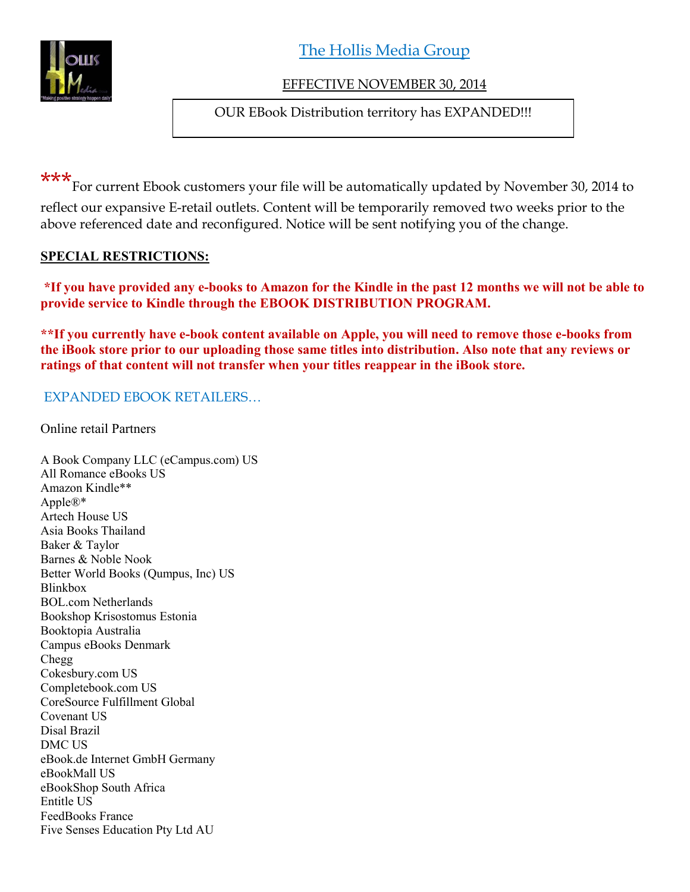

The Hollis Media Group

# EFFECTIVE NOVEMBER 30, 2014

OUR EBook Distribution territory has EXPANDED!!!

\*\*\*<br>For current Ebook customers your file will be automatically updated by November 30, 2014 to reflect our expansive E-retail outlets. Content will be temporarily removed two weeks prior to the above referenced date and reconfigured. Notice will be sent notifying you of the change.

## **SPECIAL RESTRICTIONS:**

**\*If you have provided any e-books to Amazon for the Kindle in the past 12 months we will not be able to provide service to Kindle through the EBOOK DISTRIBUTION PROGRAM.**

**\*\*If you currently have e-book content available on Apple, you will need to remove those e-books from the iBook store prior to our uploading those same titles into distribution. Also note that any reviews or ratings of that content will not transfer when your titles reappear in the iBook store.**

## EXPANDED EBOOK RETAILERS…

Online retail Partners

A Book Company LLC (eCampus.com) US All Romance eBooks US Amazon Kindle\*\* Apple®\* Artech House US Asia Books Thailand Baker & Taylor Barnes & Noble Nook Better World Books (Qumpus, Inc) US Blinkbox BOL.com Netherlands Bookshop Krisostomus Estonia Booktopia Australia Campus eBooks Denmark Chegg Cokesbury.com US Completebook.com US CoreSource Fulfillment Global Covenant US Disal Brazil DMC US eBook.de Internet GmbH Germany eBookMall US eBookShop South Africa Entitle US FeedBooks France Five Senses Education Pty Ltd AU